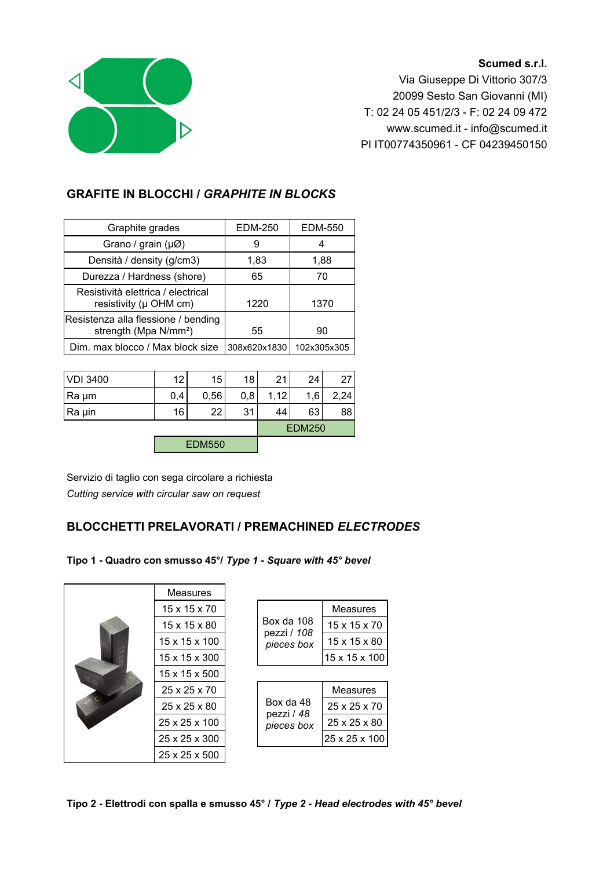## **Scumed s.r.l.**



Via Giuseppe Di Vittorio 307/3 20099 Sesto San Giovanni (MI) T: 02 24 05 451/2/3 - F: 02 24 09 472 www.scumed.it - info@scumed.it PI IT00774350961 - CF 04239450150

## **GRAFITE IN BLOCCHI /** *GRAPHITE IN BLOCKS*

| <b>EDM-250</b> | <b>EDM-550</b> |
|----------------|----------------|
| 9              | 4              |
| 1,83           | 1,88           |
| 65             | 70             |
| 1220           | 1370           |
| 55             | 90             |
| 308x620x1830   | 102x305x305    |
|                |                |

| VDI 3400 | 12  | 15            | 18  | 21   | 24  | 27   |
|----------|-----|---------------|-----|------|-----|------|
| Ra µm    | 0,4 | 0,56          | 0,8 | 1,12 | 1,6 | 2,24 |
| Ra µin   | 16  | 22            | 31  | 44   | 63  | 88   |
|          |     | <b>EDM250</b> |     |      |     |      |
|          |     | <b>EDM550</b> |     |      |     |      |

Servizio di taglio con sega circolare a richiesta *Cutting service with circular saw on request*

## **BLOCCHETTI PRELAVORATI / PREMACHINED** *ELECTRODES*

**Tipo 1 - Quadro con smusso 45°/** *Type 1 - Square with 45° bevel*

|  | <b>Measures</b>          |                           |                 |  |
|--|--------------------------|---------------------------|-----------------|--|
|  | $15 \times 15 \times 70$ |                           | Measures        |  |
|  | 15 x 15 x 80             | Box da 108<br>pezzi / 108 | 15 x 15 x 70    |  |
|  | 15 x 15 x 100            | pieces box                | 15 x 15 x 80    |  |
|  | 15 x 15 x 300            |                           | 15 x 15 x 100   |  |
|  | 15 x 15 x 500            |                           |                 |  |
|  | 25 x 25 x 70             |                           | <b>Measures</b> |  |
|  | 25 x 25 x 80             | Box da 48                 | 25 x 25 x 70    |  |
|  | 25 x 25 x 100            | pezzi / 48<br>pieces box  | 25 x 25 x 80    |  |
|  | 25 x 25 x 300            |                           | 25 x 25 x 100   |  |
|  | 25 x 25 x 500            |                           |                 |  |

**Tipo 2 - Elettrodi con spalla e smusso 45° /** *Type 2 - Head electrodes with 45° bevel*